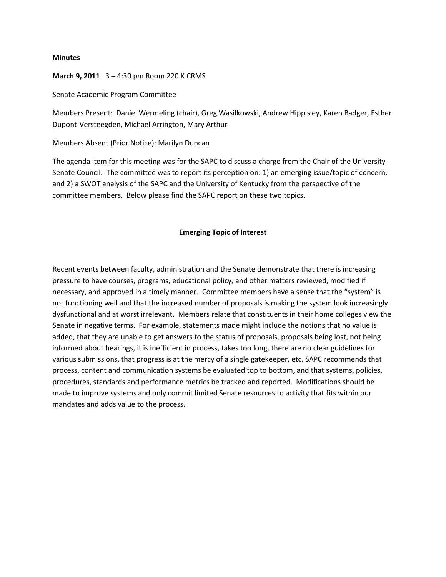#### **Minutes**

#### **March 9, 2011** 3 – 4:30 pm Room 220 K CRMS

Senate Academic Program Committee

Members Present: Daniel Wermeling (chair), Greg Wasilkowski, Andrew Hippisley, Karen Badger, Esther Dupont-Versteegden, Michael Arrington, Mary Arthur

Members Absent (Prior Notice): Marilyn Duncan

The agenda item for this meeting was for the SAPC to discuss a charge from the Chair of the University Senate Council. The committee was to report its perception on: 1) an emerging issue/topic of concern, and 2) a SWOT analysis of the SAPC and the University of Kentucky from the perspective of the committee members. Below please find the SAPC report on these two topics.

#### **Emerging Topic of Interest**

Recent events between faculty, administration and the Senate demonstrate that there is increasing pressure to have courses, programs, educational policy, and other matters reviewed, modified if necessary, and approved in a timely manner. Committee members have a sense that the "system" is not functioning well and that the increased number of proposals is making the system look increasingly dysfunctional and at worst irrelevant. Members relate that constituents in their home colleges view the Senate in negative terms. For example, statements made might include the notions that no value is added, that they are unable to get answers to the status of proposals, proposals being lost, not being informed about hearings, it is inefficient in process, takes too long, there are no clear guidelines for various submissions, that progress is at the mercy of a single gatekeeper, etc. SAPC recommends that process, content and communication systems be evaluated top to bottom, and that systems, policies, procedures, standards and performance metrics be tracked and reported. Modifications should be made to improve systems and only commit limited Senate resources to activity that fits within our mandates and adds value to the process.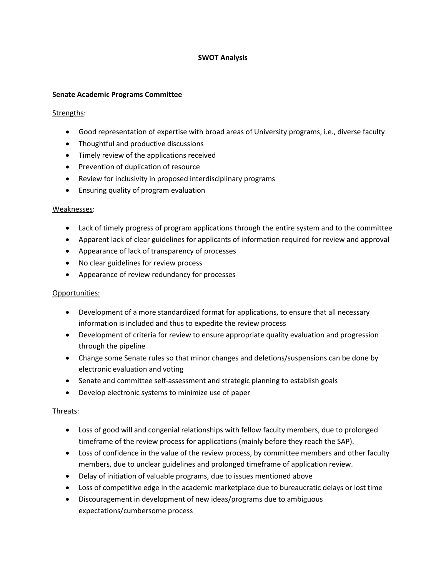# **SWOT Analysis**

#### **Senate Academic Programs Committee**

#### Strengths:

- Good representation of expertise with broad areas of University programs, i.e., diverse faculty
- Thoughtful and productive discussions
- Timely review of the applications received
- Prevention of duplication of resource
- Review for inclusivity in proposed interdisciplinary programs
- Ensuring quality of program evaluation

#### Weaknesses:

- Lack of timely progress of program applications through the entire system and to the committee
- Apparent lack of clear guidelines for applicants of information required for review and approval
- Appearance of lack of transparency of processes
- No clear guidelines for review process
- Appearance of review redundancy for processes

## Opportunities:

- Development of a more standardized format for applications, to ensure that all necessary information is included and thus to expedite the review process
- Development of criteria for review to ensure appropriate quality evaluation and progression through the pipeline
- Change some Senate rules so that minor changes and deletions/suspensions can be done by electronic evaluation and voting
- Senate and committee self-assessment and strategic planning to establish goals
- Develop electronic systems to minimize use of paper

## Threats:

- Loss of good will and congenial relationships with fellow faculty members, due to prolonged timeframe of the review process for applications (mainly before they reach the SAP).
- Loss of confidence in the value of the review process, by committee members and other faculty members, due to unclear guidelines and prolonged timeframe of application review.
- Delay of initiation of valuable programs, due to issues mentioned above
- Loss of competitive edge in the academic marketplace due to bureaucratic delays or lost time
- Discouragement in development of new ideas/programs due to ambiguous expectations/cumbersome process